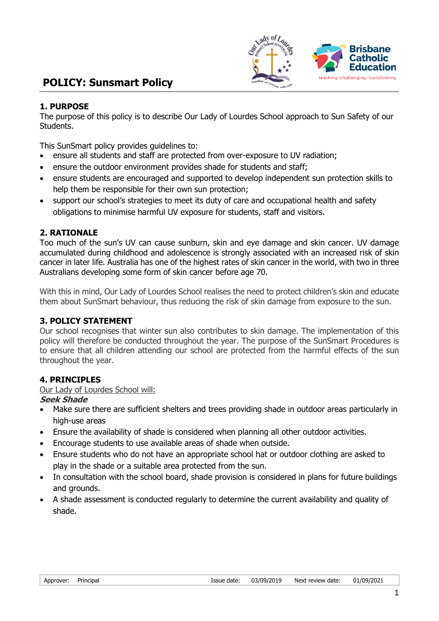

# **POLICY: Sunsmart Policy**

#### **1. PURPOSE**

The purpose of this policy is to describe Our Lady of Lourdes School approach to Sun Safety of our Students.

This SunSmart policy provides guidelines to:

- ensure all students and staff are protected from over-exposure to UV radiation;
- ensure the outdoor environment provides shade for students and staff;
- ensure students are encouraged and supported to develop independent sun protection skills to help them be responsible for their own sun protection;
- support our school's strategies to meet its duty of care and occupational health and safety obligations to minimise harmful UV exposure for students, staff and visitors.

#### **2. RATIONALE**

Too much of the sun's UV can cause sunburn, skin and eye damage and skin cancer. UV damage accumulated during childhood and adolescence is strongly associated with an increased risk of skin cancer in later life. Australia has one of the highest rates of skin cancer in the world, with two in three Australians developing some form of skin cancer before age 70.

With this in mind, Our Lady of Lourdes School realises the need to protect children's skin and educate them about SunSmart behaviour, thus reducing the risk of skin damage from exposure to the sun.

## **3. POLICY STATEMENT**

Our school recognises that winter sun also contributes to skin damage. The implementation of this policy will therefore be conducted throughout the year. The purpose of the SunSmart Procedures is to ensure that all children attending our school are protected from the harmful effects of the sun throughout the year.

#### **4. PRINCIPLES**

#### Our Lady of Lourdes School will:

#### **Seek Shade**

- Make sure there are sufficient shelters and trees providing shade in outdoor areas particularly in high-use areas
- Ensure the availability of shade is considered when planning all other outdoor activities.
- Encourage students to use available areas of shade when outside.
- Ensure students who do not have an appropriate school hat or outdoor clothing are asked to play in the shade or a suitable area protected from the sun.
- In consultation with the school board, shade provision is considered in plans for future buildings and grounds.
- A shade assessment is conducted regularly to determine the current availability and quality of shade.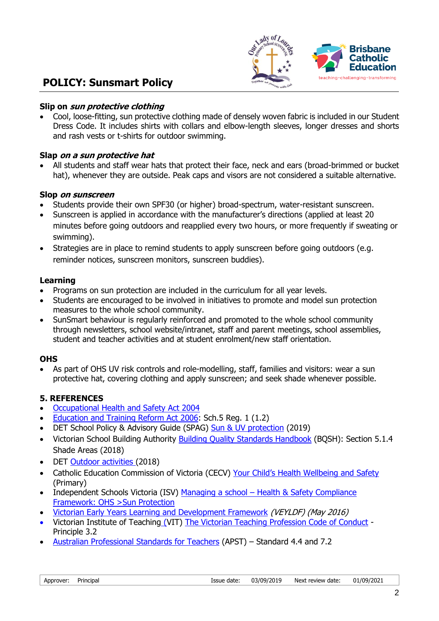

## **POLICY: Sunsmart Policy**

#### **Slip on sun protective clothing**

• Cool, loose-fitting, sun protective clothing made of densely woven fabric is included in our Student Dress Code. It includes shirts with collars and elbow-length sleeves, longer dresses and shorts and rash vests or t-shirts for outdoor swimming.

#### **Slap on a sun protective hat**

• All students and staff wear hats that protect their face, neck and ears (broad-brimmed or bucket hat), whenever they are outside. Peak caps and visors are not considered a suitable alternative.

#### **Slop on sunscreen**

- Students provide their own SPF30 (or higher) broad-spectrum, water-resistant sunscreen.
- Sunscreen is applied in accordance with the manufacturer's directions (applied at least 20 minutes before going outdoors and reapplied every two hours, or more frequently if sweating or swimming).
- Strategies are in place to remind students to apply sunscreen before going outdoors (e.g. reminder notices, sunscreen monitors, sunscreen buddies).

#### **Learning**

- Programs on sun protection are included in the curriculum for all year levels.
- Students are encouraged to be involved in initiatives to promote and model sun protection measures to the whole school community.
- SunSmart behaviour is regularly reinforced and promoted to the whole school community through newsletters, school website/intranet, staff and parent meetings, school assemblies, student and teacher activities and at student enrolment/new staff orientation.

## **OHS**

• As part of OHS UV risk controls and role-modelling, staff, families and visitors: wear a sun protective hat, covering clothing and apply sunscreen; and seek shade whenever possible.

#### **5. REFERENCES**

- [Occupational Health and Safety Act 2004](http://www.legislation.vic.gov.au/Domino/Web_Notes/LDMS/PubStatbook.nsf/edfb620cf7503d1aca256da4001b08af/750E0D9E0B2B387FCA256F71001FA7BE/$FILE/04-107A.pdf)
- [Education and Training Reform Act 2006:](http://www.education.vic.gov.au/about/department/legislation/Pages/act2006.aspx) Sch.5 Reg. 1 (1.2)
- DET School Policy & Advisory Guide (SPAG) [Sun & UV protection](https://www.education.vic.gov.au/school/principals/spag/health/pages/sun.aspx) (2019)
- Victorian School Building Authority [Building Quality Standards Handbook](https://www.education.vic.gov.au/Documents/school/principals/infrastructure/BuildingQualStandHdbk%202018.pdf) (BQSH): Section 5.1.4 Shade Areas (2018)
- DET [Outdoor activities](https://www.education.vic.gov.au/hrweb/safetyhw/Pages/outdooractivities.aspx) (2018)
- Catholic Education Commission of Victoria (CECV) [Your Child's Health Wellbeing and Safety](http://www.cecv.catholic.edu.au/Parent-Handbook-Primary/Your-Child-s-Health,-Wellbeing-and-Safety) (Primary)
- Independent Schools Victoria (ISV) [Managing a school](https://www.is.vic.edu.au/managing-a-school/about-students/health-and-safety/)  Health & Safety Compliance [Framework: OHS >Sun Protection](https://www.is.vic.edu.au/managing-a-school/compliance-framework/ohs/sun-protection/)
- [Victorian Early Years Learning and Development Framework](http://www.education.vic.gov.au/childhood/providers/edcare/pages/veyladf.aspx?Redirect=1) (VEYLDF) (May 2016)
- Victorian Institute of Teaching (VIT) [The Victorian Teaching Profession Code of Conduct](http://www.vit.vic.edu.au/__data/assets/pdf_file/0018/35604/Code-of-Conduct-2016.pdf) Principle 3.2
- [Australian Professional Standards for Teachers](http://www.aitsl.edu.au/australian-professional-standards-for-teachers/standards/list?fa=4.4!Graduate) (APST) Standard 4.4 and 7.2